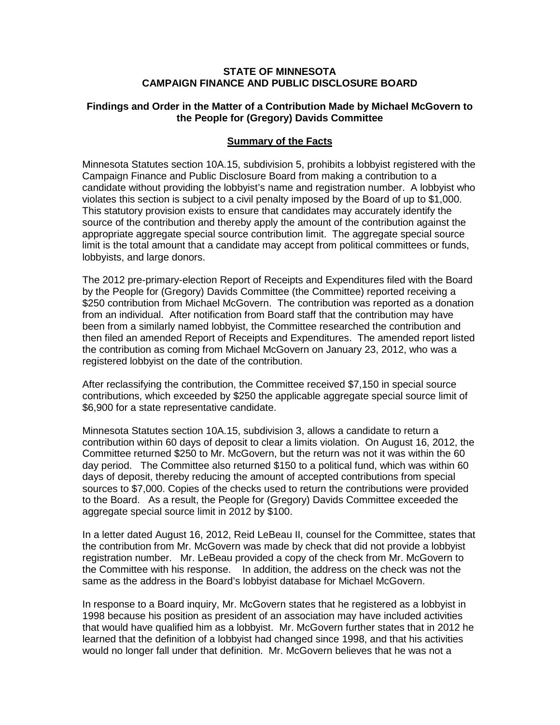## **STATE OF MINNESOTA CAMPAIGN FINANCE AND PUBLIC DISCLOSURE BOARD**

### **Findings and Order in the Matter of a Contribution Made by Michael McGovern to the People for (Gregory) Davids Committee**

## **Summary of the Facts**

Minnesota Statutes section 10A.15, subdivision 5, prohibits a lobbyist registered with the Campaign Finance and Public Disclosure Board from making a contribution to a candidate without providing the lobbyist's name and registration number. A lobbyist who violates this section is subject to a civil penalty imposed by the Board of up to \$1,000. This statutory provision exists to ensure that candidates may accurately identify the source of the contribution and thereby apply the amount of the contribution against the appropriate aggregate special source contribution limit. The aggregate special source limit is the total amount that a candidate may accept from political committees or funds, lobbyists, and large donors.

The 2012 pre-primary-election Report of Receipts and Expenditures filed with the Board by the People for (Gregory) Davids Committee (the Committee) reported receiving a \$250 contribution from Michael McGovern. The contribution was reported as a donation from an individual. After notification from Board staff that the contribution may have been from a similarly named lobbyist, the Committee researched the contribution and then filed an amended Report of Receipts and Expenditures. The amended report listed the contribution as coming from Michael McGovern on January 23, 2012, who was a registered lobbyist on the date of the contribution.

After reclassifying the contribution, the Committee received \$7,150 in special source contributions, which exceeded by \$250 the applicable aggregate special source limit of \$6,900 for a state representative candidate.

Minnesota Statutes section 10A.15, subdivision 3, allows a candidate to return a contribution within 60 days of deposit to clear a limits violation. On August 16, 2012, the Committee returned \$250 to Mr. McGovern, but the return was not it was within the 60 day period. The Committee also returned \$150 to a political fund, which was within 60 days of deposit, thereby reducing the amount of accepted contributions from special sources to \$7,000. Copies of the checks used to return the contributions were provided to the Board. As a result, the People for (Gregory) Davids Committee exceeded the aggregate special source limit in 2012 by \$100.

In a letter dated August 16, 2012, Reid LeBeau II, counsel for the Committee, states that the contribution from Mr. McGovern was made by check that did not provide a lobbyist registration number. Mr. LeBeau provided a copy of the check from Mr. McGovern to the Committee with his response. In addition, the address on the check was not the same as the address in the Board's lobbyist database for Michael McGovern.

In response to a Board inquiry, Mr. McGovern states that he registered as a lobbyist in 1998 because his position as president of an association may have included activities that would have qualified him as a lobbyist. Mr. McGovern further states that in 2012 he learned that the definition of a lobbyist had changed since 1998, and that his activities would no longer fall under that definition. Mr. McGovern believes that he was not a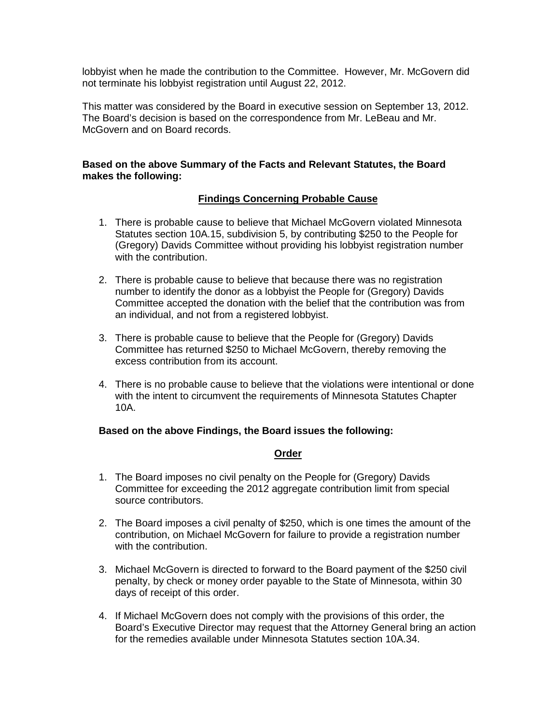lobbyist when he made the contribution to the Committee. However, Mr. McGovern did not terminate his lobbyist registration until August 22, 2012.

This matter was considered by the Board in executive session on September 13, 2012. The Board's decision is based on the correspondence from Mr. LeBeau and Mr. McGovern and on Board records.

## **Based on the above Summary of the Facts and Relevant Statutes, the Board makes the following:**

## **Findings Concerning Probable Cause**

- 1. There is probable cause to believe that Michael McGovern violated Minnesota Statutes section 10A.15, subdivision 5, by contributing \$250 to the People for (Gregory) Davids Committee without providing his lobbyist registration number with the contribution.
- 2. There is probable cause to believe that because there was no registration number to identify the donor as a lobbyist the People for (Gregory) Davids Committee accepted the donation with the belief that the contribution was from an individual, and not from a registered lobbyist.
- 3. There is probable cause to believe that the People for (Gregory) Davids Committee has returned \$250 to Michael McGovern, thereby removing the excess contribution from its account.
- 4. There is no probable cause to believe that the violations were intentional or done with the intent to circumvent the requirements of Minnesota Statutes Chapter 10A.

## **Based on the above Findings, the Board issues the following:**

#### **Order**

- 1. The Board imposes no civil penalty on the People for (Gregory) Davids Committee for exceeding the 2012 aggregate contribution limit from special source contributors.
- 2. The Board imposes a civil penalty of \$250, which is one times the amount of the contribution, on Michael McGovern for failure to provide a registration number with the contribution.
- 3. Michael McGovern is directed to forward to the Board payment of the \$250 civil penalty, by check or money order payable to the State of Minnesota, within 30 days of receipt of this order.
- 4. If Michael McGovern does not comply with the provisions of this order, the Board's Executive Director may request that the Attorney General bring an action for the remedies available under Minnesota Statutes section 10A.34.